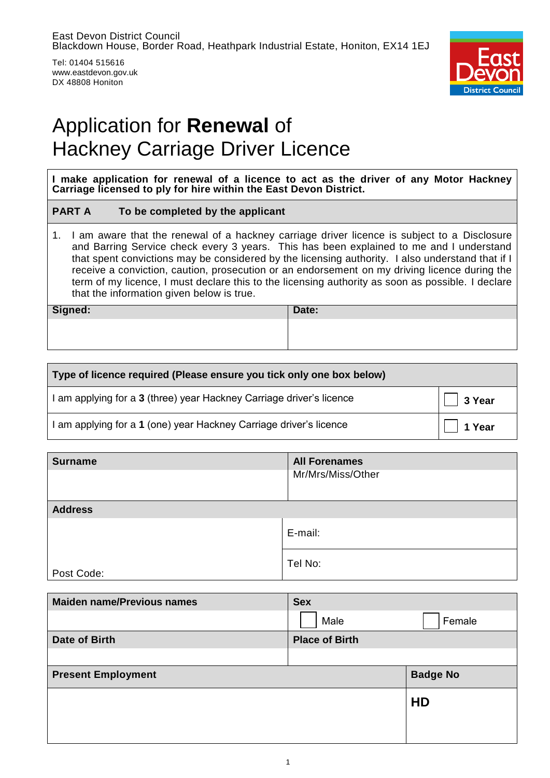Tel: 01404 515616 www.eastdevon.gov.uk DX 48808 Honiton



# Application for **Renewal** of Hackney Carriage Driver Licence

**I make application for renewal of a licence to act as the driver of any Motor Hackney Carriage licensed to ply for hire within the East Devon District.**

## **PART A To be completed by the applicant**

1. I am aware that the renewal of a hackney carriage driver licence is subject to a Disclosure and Barring Service check every 3 years. This has been explained to me and I understand that spent convictions may be considered by the licensing authority. I also understand that if I receive a conviction, caution, prosecution or an endorsement on my driving licence during the term of my licence, I must declare this to the licensing authority as soon as possible. I declare that the information given below is true.

| Signed: | Date: |
|---------|-------|
|         |       |
|         |       |

| Type of licence required (Please ensure you tick only one box below) |                |
|----------------------------------------------------------------------|----------------|
| I am applying for a 3 (three) year Hackney Carriage driver's licence | $\vert$ 3 Year |
| I am applying for a 1 (one) year Hackney Carriage driver's licence   | $\Box$ 1 Year  |

| <b>Surname</b> | <b>All Forenames</b> |
|----------------|----------------------|
|                | Mr/Mrs/Miss/Other    |
|                |                      |
| <b>Address</b> |                      |
|                | E-mail:              |
| Post Code:     | Tel No:              |

| <b>Maiden name/Previous names</b> | <b>Sex</b>            |                 |
|-----------------------------------|-----------------------|-----------------|
|                                   | Male                  | Female          |
| Date of Birth                     | <b>Place of Birth</b> |                 |
|                                   |                       |                 |
| <b>Present Employment</b>         |                       | <b>Badge No</b> |
|                                   |                       | HD              |
|                                   |                       |                 |
|                                   |                       |                 |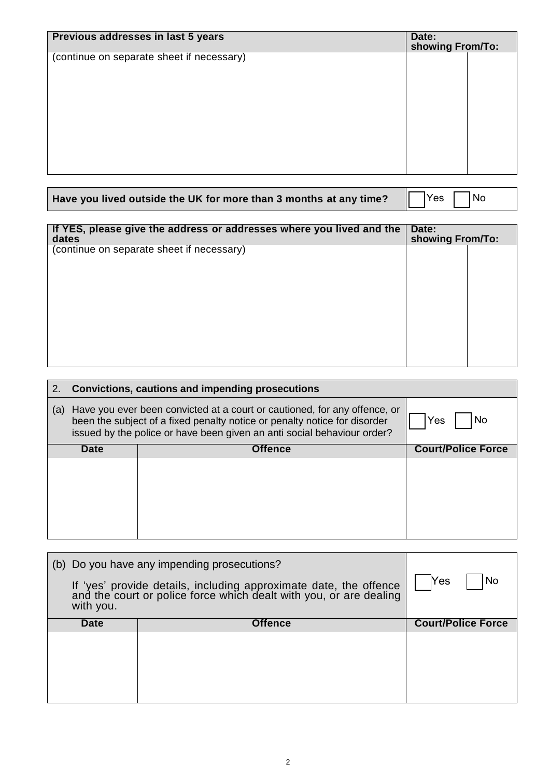| Previous addresses in last 5 years<br>Date:<br>showing From/To: |  |  |
|-----------------------------------------------------------------|--|--|
| (continue on separate sheet if necessary)                       |  |  |

| Have you lived outside the UK for more than 3 months at any time? $\Box$ Yes $\Box$ No |  |  |  |  |
|----------------------------------------------------------------------------------------|--|--|--|--|
|----------------------------------------------------------------------------------------|--|--|--|--|

| If YES, please give the address or addresses where you lived and the<br>dates |  | Date:<br>showing From/To: |  |
|-------------------------------------------------------------------------------|--|---------------------------|--|
| (continue on separate sheet if necessary)                                     |  |                           |  |
|                                                                               |  |                           |  |
|                                                                               |  |                           |  |
|                                                                               |  |                           |  |
|                                                                               |  |                           |  |
|                                                                               |  |                           |  |

|     |             | 2. Convictions, cautions and impending prosecutions                                                                                                                                                                               |                           |
|-----|-------------|-----------------------------------------------------------------------------------------------------------------------------------------------------------------------------------------------------------------------------------|---------------------------|
| (a) |             | Have you ever been convicted at a court or cautioned, for any offence, or<br>been the subject of a fixed penalty notice or penalty notice for disorder<br>issued by the police or have been given an anti social behaviour order? | No.<br>Yes                |
|     | <b>Date</b> | <b>Offence</b>                                                                                                                                                                                                                    | <b>Court/Police Force</b> |
|     |             |                                                                                                                                                                                                                                   |                           |
|     |             |                                                                                                                                                                                                                                   |                           |

| (b) Do you have any impending prosecutions?<br>If 'yes' provide details, including approximate date, the offence and the court or police force which dealt with you, or are dealing<br>with you. |                | <b>Yes</b><br>No          |
|--------------------------------------------------------------------------------------------------------------------------------------------------------------------------------------------------|----------------|---------------------------|
| <b>Date</b>                                                                                                                                                                                      | <b>Offence</b> | <b>Court/Police Force</b> |
|                                                                                                                                                                                                  |                |                           |
|                                                                                                                                                                                                  |                |                           |
|                                                                                                                                                                                                  |                |                           |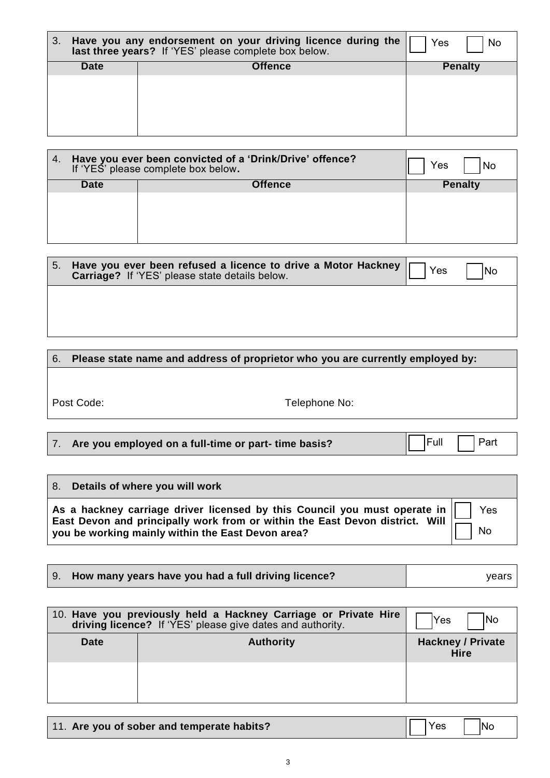| З.          | Have you any endorsement on your driving licence during the<br>last three years? If 'YES' please complete box below. | Yes<br>` No    |
|-------------|----------------------------------------------------------------------------------------------------------------------|----------------|
| <b>Date</b> | <b>Offence</b>                                                                                                       | <b>Penalty</b> |
|             |                                                                                                                      |                |
|             |                                                                                                                      |                |

| 4.          | Have you ever been convicted of a 'Drink/Drive' offence?<br>If 'YES' please complete box below. | Yes<br>No      |
|-------------|-------------------------------------------------------------------------------------------------|----------------|
| <b>Date</b> | <b>Offence</b>                                                                                  | <b>Penalty</b> |
|             |                                                                                                 |                |

| 5. | Have you ever been refused a licence to drive a Motor Hackney<br>Carriage? If 'YES' please state details below. | Yes | lNo |
|----|-----------------------------------------------------------------------------------------------------------------|-----|-----|
|    |                                                                                                                 |     |     |
|    |                                                                                                                 |     |     |

# 6. **Please state name and address of proprietor who you are currently employed by:**

Post Code: Telephone No:

|  |  |  | 7. Are you employed on a full-time or part-time basis? |  |
|--|--|--|--------------------------------------------------------|--|
|  |  |  |                                                        |  |

 $\boxed{\mathsf{Full}}$  Part

| 8. Details of where you will work                                                                                                                                                      |           |
|----------------------------------------------------------------------------------------------------------------------------------------------------------------------------------------|-----------|
| As a hackney carriage driver licensed by this Council you must operate in $\parallel$<br>East Devon and principally work from or within the East Devon district. Will $\left  \right $ | Yes       |
| you be working mainly within the East Devon area?                                                                                                                                      | <b>No</b> |

|             | 10. Have you previously held a Hackney Carriage or Private Hire<br>driving licence? If 'YES' please give dates and authority. | <b>INo</b><br>lYes                      |
|-------------|-------------------------------------------------------------------------------------------------------------------------------|-----------------------------------------|
| <b>Date</b> | <b>Authority</b>                                                                                                              | <b>Hackney / Private</b><br><b>Hire</b> |
|             |                                                                                                                               |                                         |

| 11. Are you of sober and temperate habits? | $\begin{array}{ c c c }\n\hline\n\end{array}$ Yes $\begin{array}{ c c c }\n\hline\n\end{array}$ No |  |
|--------------------------------------------|----------------------------------------------------------------------------------------------------|--|
|--------------------------------------------|----------------------------------------------------------------------------------------------------|--|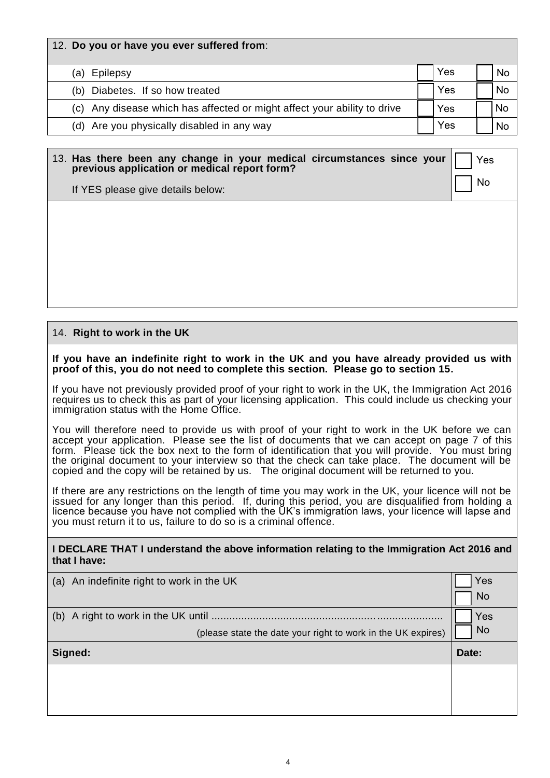| 12. Do you or have you ever suffered from:                               |     |     |
|--------------------------------------------------------------------------|-----|-----|
| Epilepsy<br>(a)                                                          | Yes | No  |
| Diabetes. If so how treated<br>(b)                                       | Yes | No. |
| (c) Any disease which has affected or might affect your ability to drive | Yes | No  |
| (d) Are you physically disabled in any way                               | Yes | No  |

## 13. **Has there been any change in your medical circumstances since your previous application or medical report form?**

Yes No

If YES please give details below:

# 14. **Right to work in the UK**

#### **If you have an indefinite right to work in the UK and you have already provided us with proof of this, you do not need to complete this section. Please go to section 15.**

If you have not previously provided proof of your right to work in the UK, the Immigration Act 2016 requires us to check this as part of your licensing application. This could include us checking your immigration status with the Home Office.

You will therefore need to provide us with proof of your right to work in the UK before we can accept your application. Please see the list of documents that we can accept on page 7 of this form. Please tick the box next to the form of identification that you will provide. You must bring the original document to your interview so that the check can take place. The document will be copied and the copy will be retained by us. The original document will be returned to you.

If there are any restrictions on the length of time you may work in the UK, your licence will not be issued for any longer than this period. If, during this period, you are disqualified from holding a licence because you have not complied with the UK's immigration laws, your licence will lapse and you must return it to us, failure to do so is a criminal offence.

#### **I DECLARE THAT I understand the above information relating to the Immigration Act 2016 and that I have:**

| (a) An indefinite right to work in the UK                    | Yes       |
|--------------------------------------------------------------|-----------|
|                                                              | <b>No</b> |
|                                                              | Yes       |
| (please state the date your right to work in the UK expires) | <b>No</b> |
| Signed:                                                      | Date:     |
|                                                              |           |
|                                                              |           |
|                                                              |           |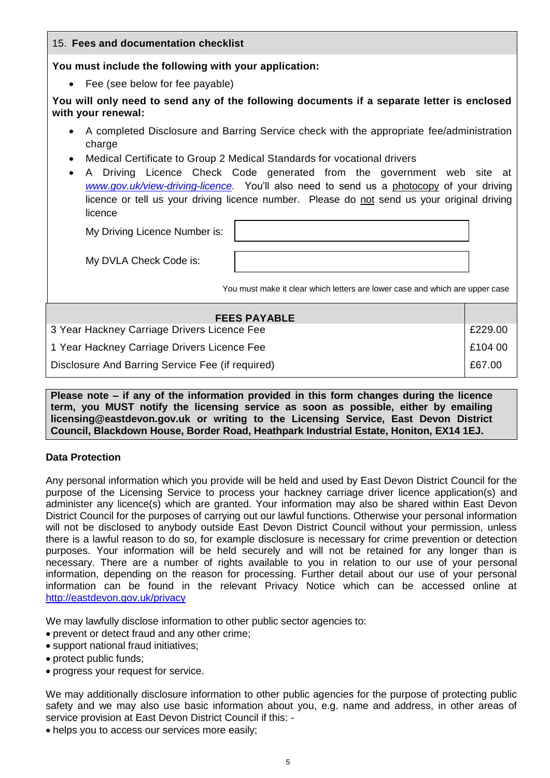| 15. Fees and documentation checklist                                                                                                                                                                                                                                                                                                                                                                                                                                                    |  |  |  |  |
|-----------------------------------------------------------------------------------------------------------------------------------------------------------------------------------------------------------------------------------------------------------------------------------------------------------------------------------------------------------------------------------------------------------------------------------------------------------------------------------------|--|--|--|--|
| You must include the following with your application:                                                                                                                                                                                                                                                                                                                                                                                                                                   |  |  |  |  |
| • Fee (see below for fee payable)                                                                                                                                                                                                                                                                                                                                                                                                                                                       |  |  |  |  |
| You will only need to send any of the following documents if a separate letter is enclosed<br>with your renewal:                                                                                                                                                                                                                                                                                                                                                                        |  |  |  |  |
| A completed Disclosure and Barring Service check with the appropriate fee/administration<br>charge<br>Medical Certificate to Group 2 Medical Standards for vocational drivers<br>$\bullet$<br>A Driving Licence Check Code generated from the government web site at<br>$\bullet$<br>www.gov.uk/view-driving-licence. You'll also need to send us a photocopy of your driving<br>licence or tell us your driving licence number. Please do not send us your original driving<br>licence |  |  |  |  |
| My Driving Licence Number is:                                                                                                                                                                                                                                                                                                                                                                                                                                                           |  |  |  |  |
| My DVLA Check Code is:                                                                                                                                                                                                                                                                                                                                                                                                                                                                  |  |  |  |  |
| You must make it clear which letters are lower case and which are upper case                                                                                                                                                                                                                                                                                                                                                                                                            |  |  |  |  |
| <b>FEES PAYABLE</b>                                                                                                                                                                                                                                                                                                                                                                                                                                                                     |  |  |  |  |
| 3 Year Hackney Carriage Drivers Licence Fee<br>£229.00                                                                                                                                                                                                                                                                                                                                                                                                                                  |  |  |  |  |
| £104 00<br>1 Year Hackney Carriage Drivers Licence Fee                                                                                                                                                                                                                                                                                                                                                                                                                                  |  |  |  |  |
| Disclosure And Barring Service Fee (if required)<br>£67.00                                                                                                                                                                                                                                                                                                                                                                                                                              |  |  |  |  |

**Please note – if any of the information provided in this form changes during the licence term, you MUST notify the licensing service as soon as possible, either by emailing licensing@eastdevon.gov.uk or writing to the Licensing Service, East Devon District Council, Blackdown House, Border Road, Heathpark Industrial Estate, Honiton, EX14 1EJ.**

#### **Data Protection**

Any personal information which you provide will be held and used by East Devon District Council for the purpose of the Licensing Service to process your hackney carriage driver licence application(s) and administer any licence(s) which are granted. Your information may also be shared within East Devon District Council for the purposes of carrying out our lawful functions. Otherwise your personal information will not be disclosed to anybody outside East Devon District Council without your permission, unless there is a lawful reason to do so, for example disclosure is necessary for crime prevention or detection purposes. Your information will be held securely and will not be retained for any longer than is necessary. There are a number of rights available to you in relation to our use of your personal information, depending on the reason for processing. Further detail about our use of your personal information can be found in the relevant Privacy Notice which can be accessed online at <http://eastdevon.gov.uk/privacy>

We may lawfully disclose information to other public sector agencies to:

- prevent or detect fraud and any other crime;
- support national fraud initiatives;
- protect public funds;
- progress your request for service.

We may additionally disclosure information to other public agencies for the purpose of protecting public safety and we may also use basic information about you, e.g. name and address, in other areas of service provision at East Devon District Council if this: -

helps you to access our services more easily;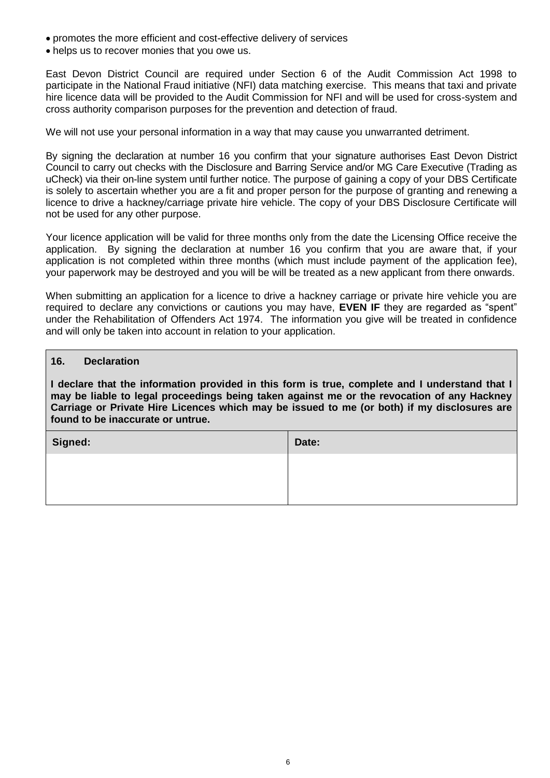- promotes the more efficient and cost-effective delivery of services
- helps us to recover monies that you owe us.

East Devon District Council are required under Section 6 of the Audit Commission Act 1998 to participate in the National Fraud initiative (NFI) data matching exercise. This means that taxi and private hire licence data will be provided to the Audit Commission for NFI and will be used for cross-system and cross authority comparison purposes for the prevention and detection of fraud.

We will not use your personal information in a way that may cause you unwarranted detriment.

By signing the declaration at number 16 you confirm that your signature authorises East Devon District Council to carry out checks with the Disclosure and Barring Service and/or MG Care Executive (Trading as uCheck) via their on-line system until further notice. The purpose of gaining a copy of your DBS Certificate is solely to ascertain whether you are a fit and proper person for the purpose of granting and renewing a licence to drive a hackney/carriage private hire vehicle. The copy of your DBS Disclosure Certificate will not be used for any other purpose.

Your licence application will be valid for three months only from the date the Licensing Office receive the application. By signing the declaration at number 16 you confirm that you are aware that, if your application is not completed within three months (which must include payment of the application fee), your paperwork may be destroyed and you will be will be treated as a new applicant from there onwards.

When submitting an application for a licence to drive a hackney carriage or private hire vehicle you are required to declare any convictions or cautions you may have, **EVEN IF** they are regarded as "spent" under the Rehabilitation of Offenders Act 1974. The information you give will be treated in confidence and will only be taken into account in relation to your application.

#### **16. Declaration**

**I declare that the information provided in this form is true, complete and I understand that I may be liable to legal proceedings being taken against me or the revocation of any Hackney Carriage or Private Hire Licences which may be issued to me (or both) if my disclosures are found to be inaccurate or untrue.**

| Date: |
|-------|
|       |
|       |
|       |